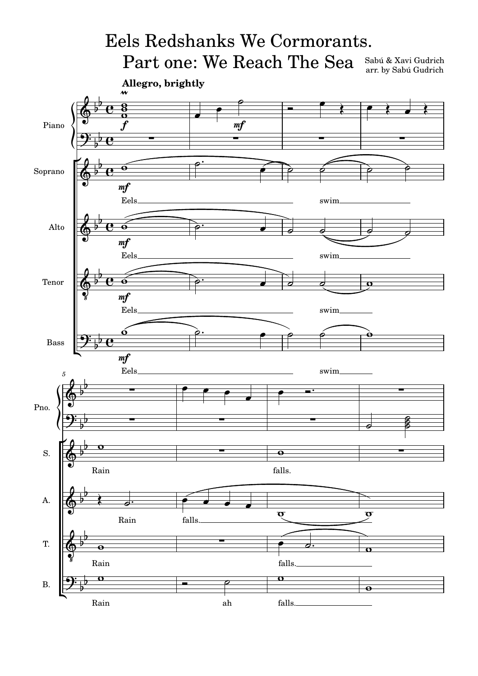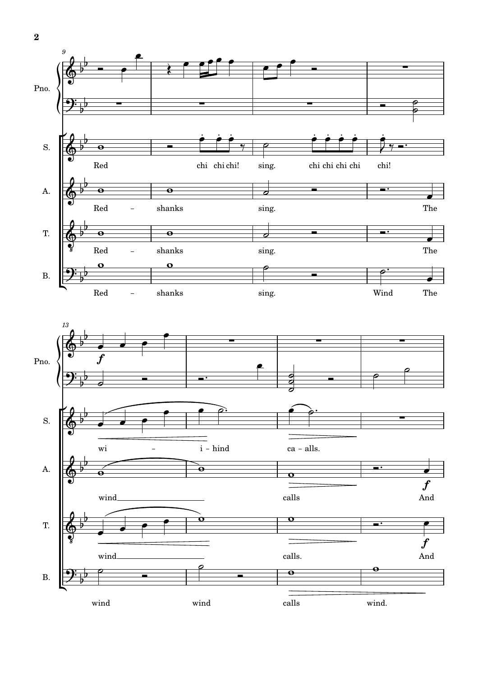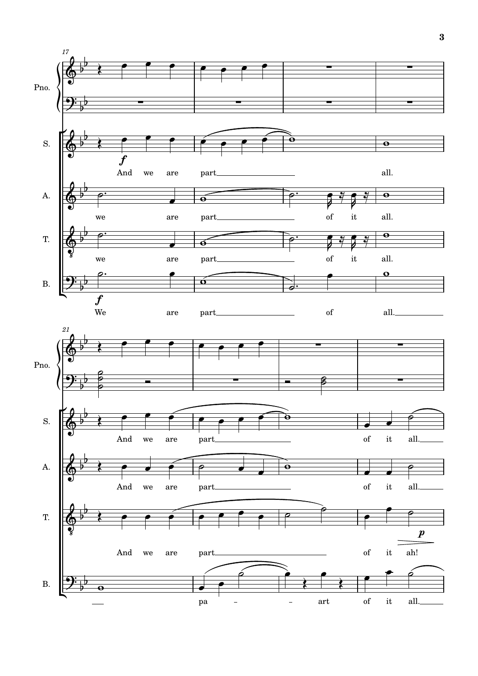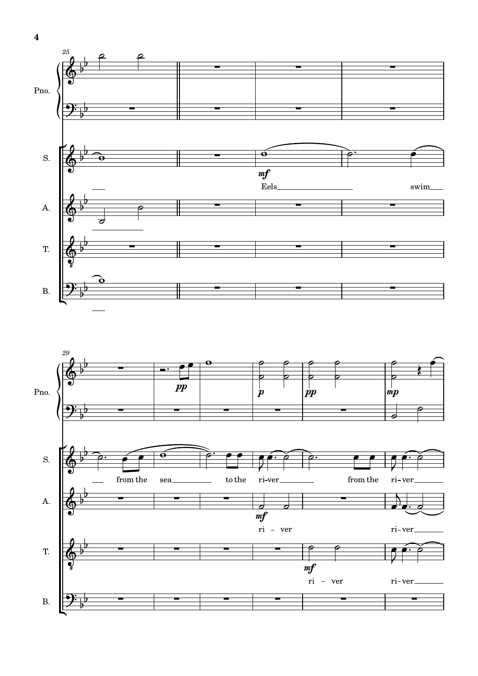

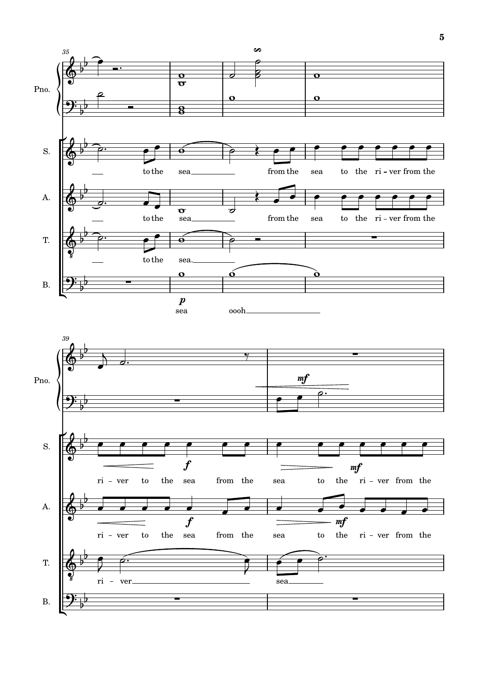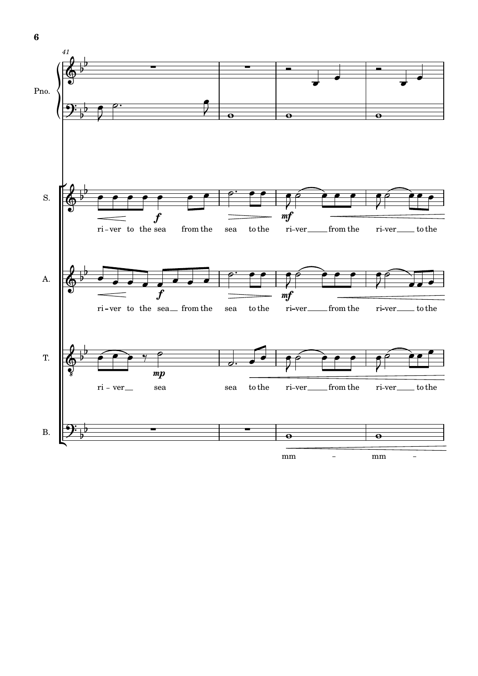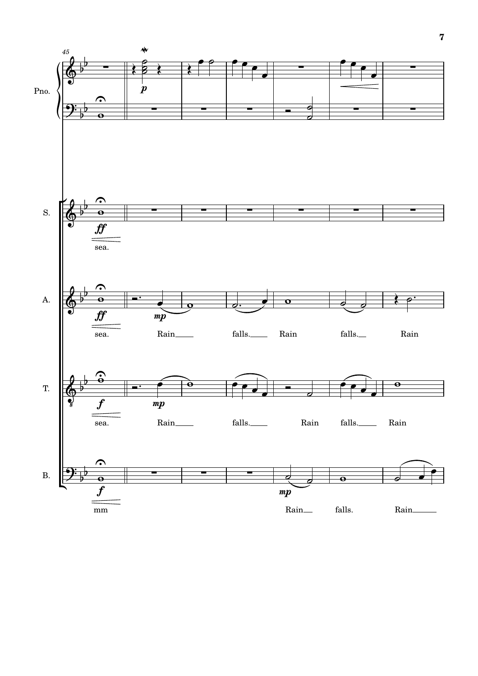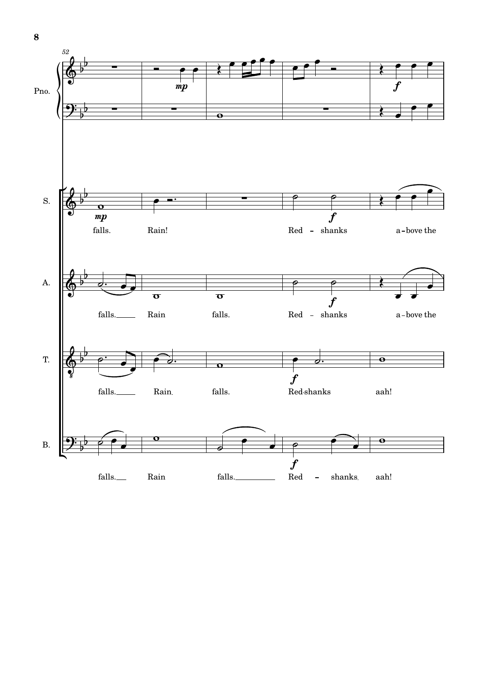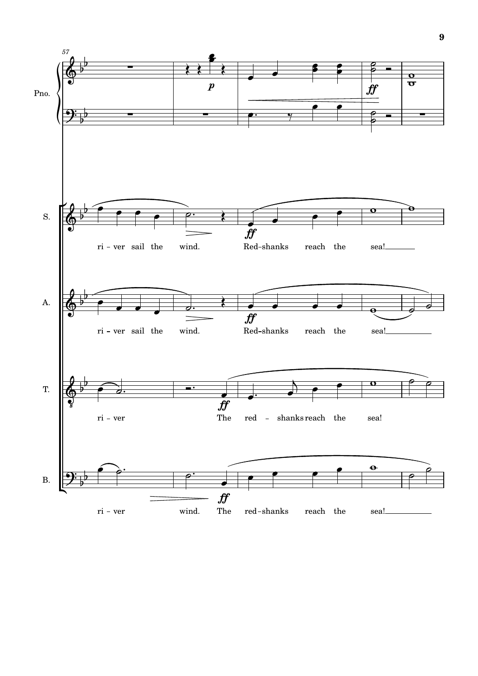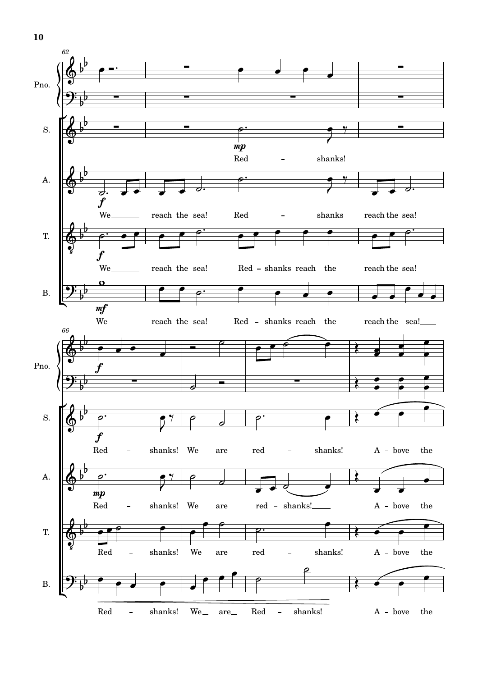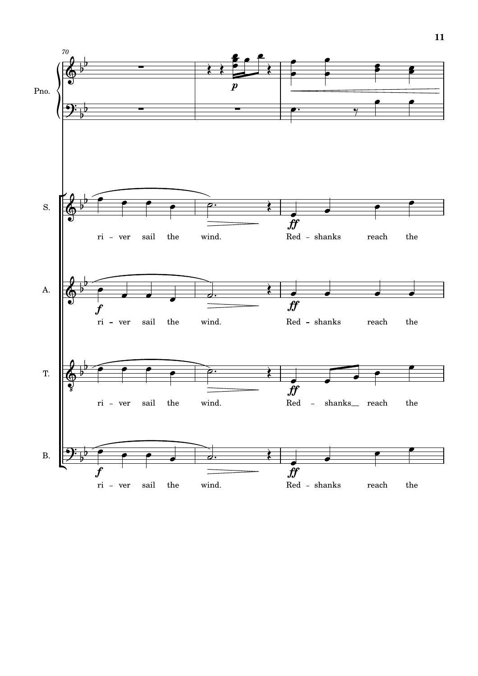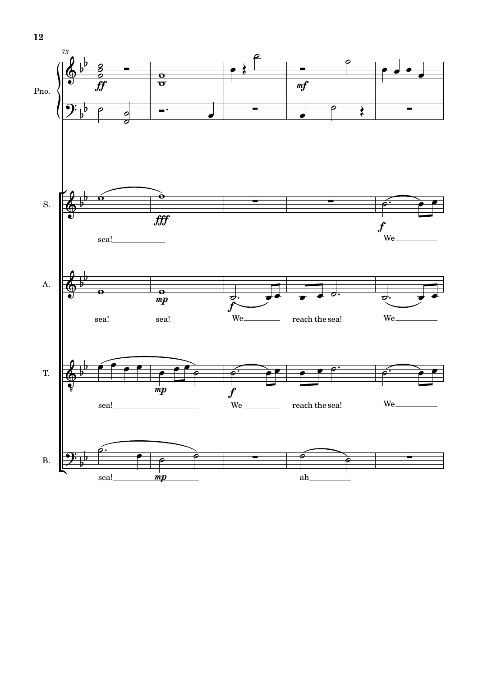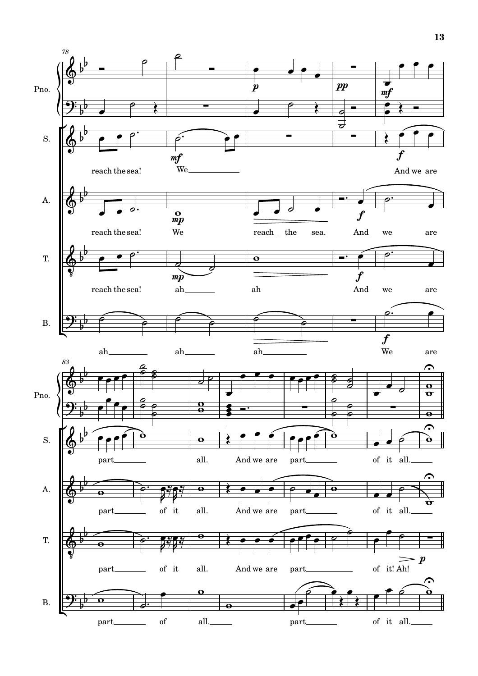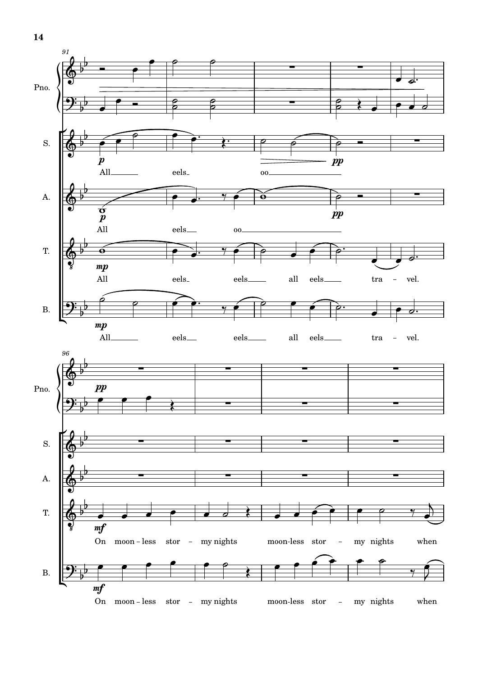

**<sup>14</sup>**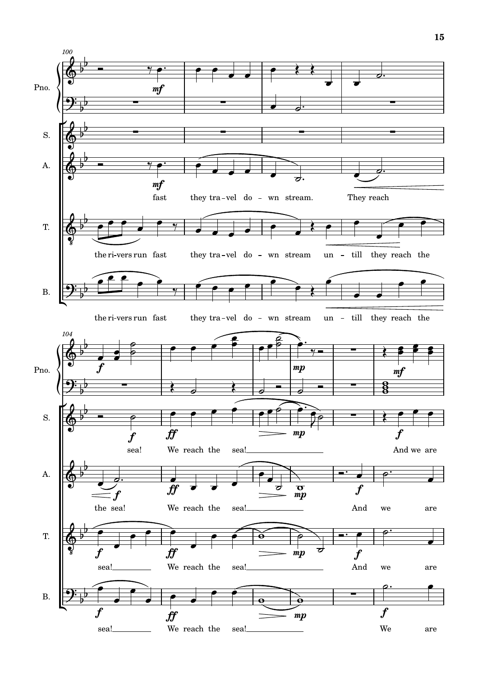